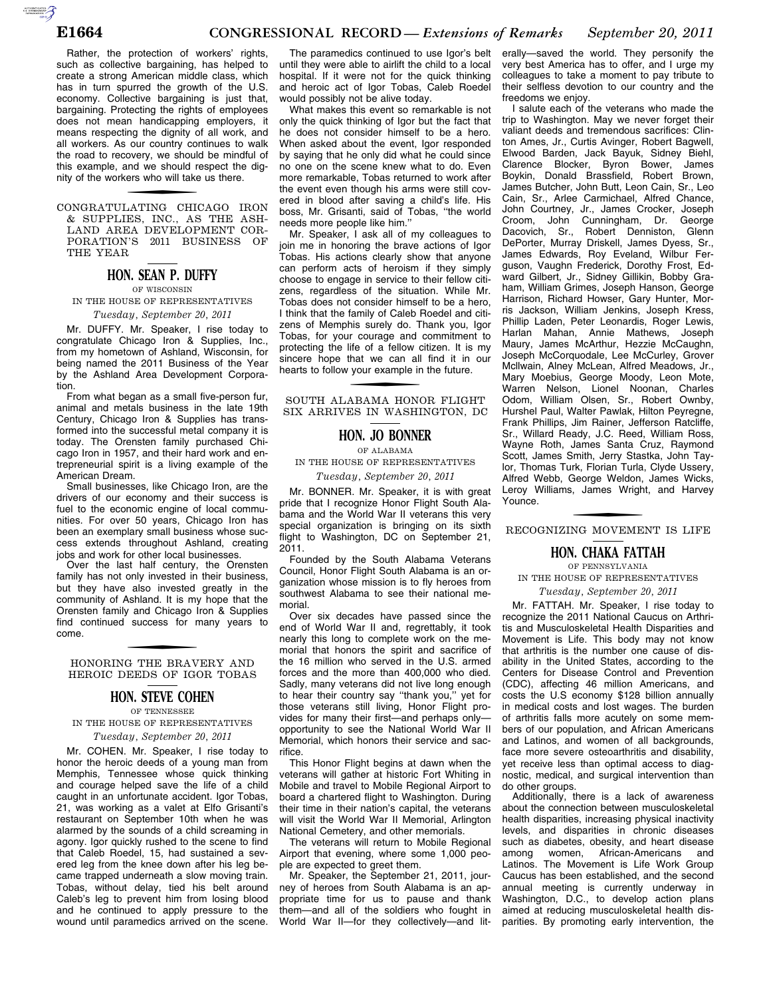$\sum_{\text{cyc}}$ 

Rather, the protection of workers' rights, such as collective bargaining, has helped to create a strong American middle class, which has in turn spurred the growth of the U.S. economy. Collective bargaining is just that, bargaining. Protecting the rights of employees does not mean handicapping employers, it means respecting the dignity of all work, and all workers. As our country continues to walk the road to recovery, we should be mindful of this example, and we should respect the dignity of the workers who will take us there.

f CONGRATULATING CHICAGO IRON & SUPPLIES, INC., AS THE ASH-LAND AREA DEVELOPMENT COR-PORATION'S 2011 BUSINESS OF THE YEAR

# **HON. SEAN P. DUFFY**

OF WISCONSIN IN THE HOUSE OF REPRESENTATIVES *Tuesday, September 20, 2011* 

Mr. DUFFY. Mr. Speaker, I rise today to congratulate Chicago Iron & Supplies, Inc., from my hometown of Ashland, Wisconsin, for being named the 2011 Business of the Year by the Ashland Area Development Corporation.

From what began as a small five-person fur, animal and metals business in the late 19th Century, Chicago Iron & Supplies has transformed into the successful metal company it is today. The Orensten family purchased Chicago Iron in 1957, and their hard work and entrepreneurial spirit is a living example of the American Dream.

Small businesses, like Chicago Iron, are the drivers of our economy and their success is fuel to the economic engine of local communities. For over 50 years, Chicago Iron has been an exemplary small business whose success extends throughout Ashland, creating jobs and work for other local businesses.

Over the last half century, the Orensten family has not only invested in their business, but they have also invested greatly in the community of Ashland. It is my hope that the Orensten family and Chicago Iron & Supplies find continued success for many years to come.

f HONORING THE BRAVERY AND HEROIC DEEDS OF IGOR TOBAS

## **HON. STEVE COHEN**

OF TENNESSEE

IN THE HOUSE OF REPRESENTATIVES *Tuesday, September 20, 2011* 

Mr. COHEN. Mr. Speaker, I rise today to honor the heroic deeds of a young man from Memphis, Tennessee whose quick thinking and courage helped save the life of a child caught in an unfortunate accident. Igor Tobas, 21, was working as a valet at Elfo Grisanti's restaurant on September 10th when he was alarmed by the sounds of a child screaming in agony. Igor quickly rushed to the scene to find that Caleb Roedel, 15, had sustained a severed leg from the knee down after his leg became trapped underneath a slow moving train. Tobas, without delay, tied his belt around Caleb's leg to prevent him from losing blood and he continued to apply pressure to the wound until paramedics arrived on the scene.

The paramedics continued to use Igor's belt until they were able to airlift the child to a local hospital. If it were not for the quick thinking and heroic act of Igor Tobas, Caleb Roedel would possibly not be alive today.

What makes this event so remarkable is not only the quick thinking of Igor but the fact that he does not consider himself to be a hero. When asked about the event, Igor responded by saying that he only did what he could since no one on the scene knew what to do. Even more remarkable, Tobas returned to work after the event even though his arms were still covered in blood after saving a child's life. His boss, Mr. Grisanti, said of Tobas, ''the world needs more people like him.''

Mr. Speaker, I ask all of my colleagues to join me in honoring the brave actions of Igor Tobas. His actions clearly show that anyone can perform acts of heroism if they simply choose to engage in service to their fellow citizens, regardless of the situation. While Mr. Tobas does not consider himself to be a hero, I think that the family of Caleb Roedel and citizens of Memphis surely do. Thank you, Igor Tobas, for your courage and commitment to protecting the life of a fellow citizen. It is my sincere hope that we can all find it in our hearts to follow your example in the future.

SOUTH ALABAMA HONOR FLIGHT SIX ARRIVES IN WASHINGTON, DC

## **HON. JO BONNER**

OF ALABAMA

IN THE HOUSE OF REPRESENTATIVES *Tuesday, September 20, 2011* 

Mr. BONNER. Mr. Speaker, it is with great pride that I recognize Honor Flight South Alabama and the World War II veterans this very special organization is bringing on its sixth flight to Washington, DC on September 21,

2011. Founded by the South Alabama Veterans Council, Honor Flight South Alabama is an organization whose mission is to fly heroes from southwest Alabama to see their national memorial.

Over six decades have passed since the end of World War II and, regrettably, it took nearly this long to complete work on the memorial that honors the spirit and sacrifice of the 16 million who served in the U.S. armed forces and the more than 400,000 who died. Sadly, many veterans did not live long enough to hear their country say ''thank you,'' yet for those veterans still living, Honor Flight provides for many their first—and perhaps only opportunity to see the National World War II Memorial, which honors their service and sacrifice.

This Honor Flight begins at dawn when the veterans will gather at historic Fort Whiting in Mobile and travel to Mobile Regional Airport to board a chartered flight to Washington. During their time in their nation's capital, the veterans will visit the World War II Memorial, Arlington National Cemetery, and other memorials.

The veterans will return to Mobile Regional Airport that evening, where some 1,000 people are expected to greet them.

Mr. Speaker, the September 21, 2011, journey of heroes from South Alabama is an appropriate time for us to pause and thank them—and all of the soldiers who fought in World War II—for they collectively—and lit-

erally—saved the world. They personify the very best America has to offer, and I urge my colleagues to take a moment to pay tribute to their selfless devotion to our country and the freedoms we enjoy.

I salute each of the veterans who made the trip to Washington. May we never forget their valiant deeds and tremendous sacrifices: Clinton Ames, Jr., Curtis Avinger, Robert Bagwell, Elwood Barden, Jack Bayuk, Sidney Biehl, Clarence Blocker, Byron Bower, James Boykin, Donald Brassfield, Robert Brown, James Butcher, John Butt, Leon Cain, Sr., Leo Cain, Sr., Arlee Carmichael, Alfred Chance, John Courtney, Jr., James Crocker, Joseph Croom, John Cunningham, Dr. George Dacovich, Sr., Robert Denniston, Glenn DePorter, Murray Driskell, James Dyess, Sr., James Edwards, Roy Eveland, Wilbur Ferguson, Vaughn Frederick, Dorothy Frost, Edward Gilbert, Jr., Sidney Gillikin, Bobby Graham, William Grimes, Joseph Hanson, George Harrison, Richard Howser, Gary Hunter, Morris Jackson, William Jenkins, Joseph Kress, Phillip Laden, Peter Leonardis, Roger Lewis, Harlan Mahan, Annie Mathews, Joseph Maury, James McArthur, Hezzie McCaughn, Joseph McCorquodale, Lee McCurley, Grover Mcllwain, Alney McLean, Alfred Meadows, Jr., Mary Moebius, George Moody, Leon Mote, Warren Nelson, Lionel Noonan, Charles Odom, William Olsen, Sr., Robert Ownby, Hurshel Paul, Walter Pawlak, Hilton Peyregne, Frank Phillips, Jim Rainer, Jefferson Ratcliffe, Sr., Willard Ready, J.C. Reed, William Ross, Wayne Roth, James Santa Cruz, Raymond Scott, James Smith, Jerry Stastka, John Taylor, Thomas Turk, Florian Turla, Clyde Ussery, Alfred Webb, George Weldon, James Wicks, Leroy Williams, James Wright, and Harvey Younce.

# f RECOGNIZING MOVEMENT IS LIFE

# **HON. CHAKA FATTAH**

OF PENNSYLVANIA IN THE HOUSE OF REPRESENTATIVES

*Tuesday, September 20, 2011* 

Mr. FATTAH. Mr. Speaker, I rise today to recognize the 2011 National Caucus on Arthritis and Musculoskeletal Health Disparities and Movement is Life. This body may not know that arthritis is the number one cause of disability in the United States, according to the Centers for Disease Control and Prevention (CDC), affecting 46 million Americans, and costs the U.S economy \$128 billion annually in medical costs and lost wages. The burden of arthritis falls more acutely on some members of our population, and African Americans and Latinos, and women of all backgrounds, face more severe osteoarthritis and disability, yet receive less than optimal access to diagnostic, medical, and surgical intervention than do other groups.

Additionally, there is a lack of awareness about the connection between musculoskeletal health disparities, increasing physical inactivity levels, and disparities in chronic diseases such as diabetes, obesity, and heart disease<br>among women, African-Americans and among women, African-Americans and Latinos. The Movement is Life Work Group Caucus has been established, and the second annual meeting is currently underway in Washington, D.C., to develop action plans aimed at reducing musculoskeletal health disparities. By promoting early intervention, the